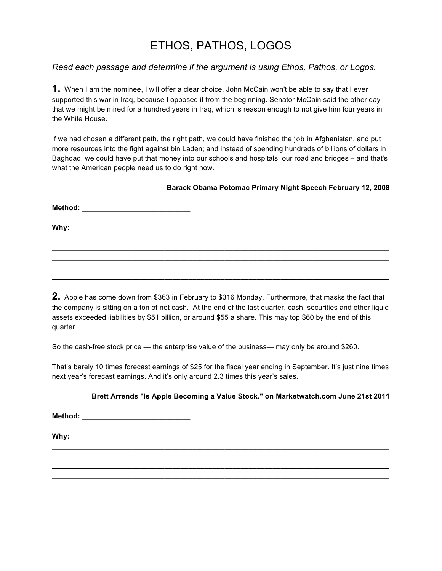# ETHOS, PATHOS, LOGOS

# *Read each passage and determine if the argument is using Ethos, Pathos, or Logos.*

**1.** When I am the nominee, I will offer a clear choice. John McCain won't be able to say that I ever supported this war in Iraq, because I opposed it from the beginning. Senator McCain said the other day that we might be mired for a hundred years in Iraq, which is reason enough to not give him four years in the White House.

If we had chosen a different path, the right path, we could have finished the job in Afghanistan, and put more resources into the fight against bin Laden; and instead of spending hundreds of billions of dollars in Baghdad, we could have put that money into our schools and hospitals, our road and bridges – and that's what the American people need us to do right now.

### **Barack Obama Potomac Primary Night Speech February 12, 2008**

**Method: \_\_\_\_\_\_\_\_\_\_\_\_\_\_\_\_\_\_\_\_\_\_\_\_\_\_\_**

**Why:** 

**2.** Apple has come down from \$363 in February to \$316 Monday. Furthermore, that masks the fact that the company is sitting on a ton of net cash. At the end of the last quarter, cash, securities and other liquid assets exceeded liabilities by \$51 billion, or around \$55 a share. This may top \$60 by the end of this quarter.

**\_\_\_\_\_\_\_\_\_\_\_\_\_\_\_\_\_\_\_\_\_\_\_\_\_\_\_\_\_\_\_\_\_\_\_\_\_\_\_\_\_\_\_\_\_\_\_\_\_\_\_\_\_\_\_\_\_\_\_\_\_\_\_\_\_\_\_\_\_\_\_\_\_\_\_\_\_\_\_\_\_\_\_\_ \_\_\_\_\_\_\_\_\_\_\_\_\_\_\_\_\_\_\_\_\_\_\_\_\_\_\_\_\_\_\_\_\_\_\_\_\_\_\_\_\_\_\_\_\_\_\_\_\_\_\_\_\_\_\_\_\_\_\_\_\_\_\_\_\_\_\_\_\_\_\_\_\_\_\_\_\_\_\_\_\_\_\_\_ \_\_\_\_\_\_\_\_\_\_\_\_\_\_\_\_\_\_\_\_\_\_\_\_\_\_\_\_\_\_\_\_\_\_\_\_\_\_\_\_\_\_\_\_\_\_\_\_\_\_\_\_\_\_\_\_\_\_\_\_\_\_\_\_\_\_\_\_\_\_\_\_\_\_\_\_\_\_\_\_\_\_\_\_ \_\_\_\_\_\_\_\_\_\_\_\_\_\_\_\_\_\_\_\_\_\_\_\_\_\_\_\_\_\_\_\_\_\_\_\_\_\_\_\_\_\_\_\_\_\_\_\_\_\_\_\_\_\_\_\_\_\_\_\_\_\_\_\_\_\_\_\_\_\_\_\_\_\_\_\_\_\_\_\_\_\_\_\_ \_\_\_\_\_\_\_\_\_\_\_\_\_\_\_\_\_\_\_\_\_\_\_\_\_\_\_\_\_\_\_\_\_\_\_\_\_\_\_\_\_\_\_\_\_\_\_\_\_\_\_\_\_\_\_\_\_\_\_\_\_\_\_\_\_\_\_\_\_\_\_\_\_\_\_\_\_\_\_\_\_\_\_\_**

So the cash-free stock price — the enterprise value of the business— may only be around \$260.

That's barely 10 times forecast earnings of \$25 for the fiscal year ending in September. It's just nine times next year's forecast earnings. And it's only around 2.3 times this year's sales.

**\_\_\_\_\_\_\_\_\_\_\_\_\_\_\_\_\_\_\_\_\_\_\_\_\_\_\_\_\_\_\_\_\_\_\_\_\_\_\_\_\_\_\_\_\_\_\_\_\_\_\_\_\_\_\_\_\_\_\_\_\_\_\_\_\_\_\_\_\_\_\_\_\_\_\_\_\_\_\_\_\_\_\_\_ \_\_\_\_\_\_\_\_\_\_\_\_\_\_\_\_\_\_\_\_\_\_\_\_\_\_\_\_\_\_\_\_\_\_\_\_\_\_\_\_\_\_\_\_\_\_\_\_\_\_\_\_\_\_\_\_\_\_\_\_\_\_\_\_\_\_\_\_\_\_\_\_\_\_\_\_\_\_\_\_\_\_\_\_ \_\_\_\_\_\_\_\_\_\_\_\_\_\_\_\_\_\_\_\_\_\_\_\_\_\_\_\_\_\_\_\_\_\_\_\_\_\_\_\_\_\_\_\_\_\_\_\_\_\_\_\_\_\_\_\_\_\_\_\_\_\_\_\_\_\_\_\_\_\_\_\_\_\_\_\_\_\_\_\_\_\_\_\_ \_\_\_\_\_\_\_\_\_\_\_\_\_\_\_\_\_\_\_\_\_\_\_\_\_\_\_\_\_\_\_\_\_\_\_\_\_\_\_\_\_\_\_\_\_\_\_\_\_\_\_\_\_\_\_\_\_\_\_\_\_\_\_\_\_\_\_\_\_\_\_\_\_\_\_\_\_\_\_\_\_\_\_\_ \_\_\_\_\_\_\_\_\_\_\_\_\_\_\_\_\_\_\_\_\_\_\_\_\_\_\_\_\_\_\_\_\_\_\_\_\_\_\_\_\_\_\_\_\_\_\_\_\_\_\_\_\_\_\_\_\_\_\_\_\_\_\_\_\_\_\_\_\_\_\_\_\_\_\_\_\_\_\_\_\_\_\_\_**

#### **Brett Arrends "Is Apple Becoming a Value Stock." on Marketwatch.com June 21st 2011**

**Method:**  $\blacksquare$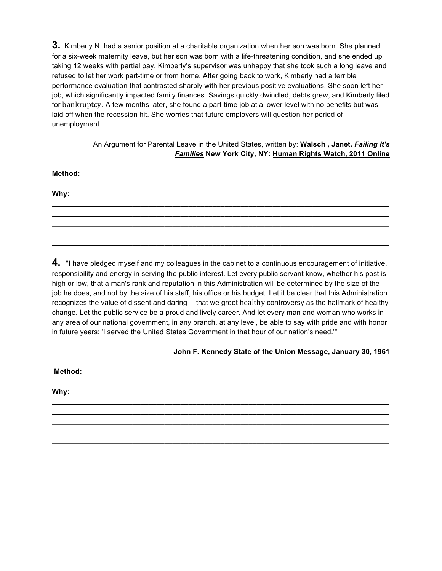**3.** Kimberly N. had a senior position at a charitable organization when her son was born. She planned for a six-week maternity leave, but her son was born with a life-threatening condition, and she ended up taking 12 weeks with partial pay. Kimberly's supervisor was unhappy that she took such a long leave and refused to let her work part-time or from home. After going back to work, Kimberly had a terrible performance evaluation that contrasted sharply with her previous positive evaluations. She soon left her job, which significantly impacted family finances. Savings quickly dwindled, debts grew, and Kimberly filed for bankruptcy. A few months later, she found a part-time job at a lower level with no benefits but was laid off when the recession hit. She worries that future employers will question her period of unemployment.

> An Argument for Parental Leave in the United States, written by: **Walsch , Janet.** *Failing It's Families* **New York City, NY: Human Rights Watch, 2011 Online**

**Method: \_\_\_\_\_\_\_\_\_\_\_\_\_\_\_\_\_\_\_\_\_\_\_\_\_\_\_**

**Why:** 

**4.** "I have pledged myself and my colleagues in the cabinet to a continuous encouragement of initiative, responsibility and energy in serving the public interest. Let every public servant know, whether his post is high or low, that a man's rank and reputation in this Administration will be determined by the size of the job he does, and not by the size of his staff, his office or his budget. Let it be clear that this Administration recognizes the value of dissent and daring -- that we greet healthy controversy as the hallmark of healthy change. Let the public service be a proud and lively career. And let every man and woman who works in any area of our national government, in any branch, at any level, be able to say with pride and with honor in future years: 'I served the United States Government in that hour of our nation's need.'"

**\_\_\_\_\_\_\_\_\_\_\_\_\_\_\_\_\_\_\_\_\_\_\_\_\_\_\_\_\_\_\_\_\_\_\_\_\_\_\_\_\_\_\_\_\_\_\_\_\_\_\_\_\_\_\_\_\_\_\_\_\_\_\_\_\_\_\_\_\_\_\_\_\_\_\_\_\_\_\_\_\_\_\_\_ \_\_\_\_\_\_\_\_\_\_\_\_\_\_\_\_\_\_\_\_\_\_\_\_\_\_\_\_\_\_\_\_\_\_\_\_\_\_\_\_\_\_\_\_\_\_\_\_\_\_\_\_\_\_\_\_\_\_\_\_\_\_\_\_\_\_\_\_\_\_\_\_\_\_\_\_\_\_\_\_\_\_\_\_ \_\_\_\_\_\_\_\_\_\_\_\_\_\_\_\_\_\_\_\_\_\_\_\_\_\_\_\_\_\_\_\_\_\_\_\_\_\_\_\_\_\_\_\_\_\_\_\_\_\_\_\_\_\_\_\_\_\_\_\_\_\_\_\_\_\_\_\_\_\_\_\_\_\_\_\_\_\_\_\_\_\_\_\_ \_\_\_\_\_\_\_\_\_\_\_\_\_\_\_\_\_\_\_\_\_\_\_\_\_\_\_\_\_\_\_\_\_\_\_\_\_\_\_\_\_\_\_\_\_\_\_\_\_\_\_\_\_\_\_\_\_\_\_\_\_\_\_\_\_\_\_\_\_\_\_\_\_\_\_\_\_\_\_\_\_\_\_\_ \_\_\_\_\_\_\_\_\_\_\_\_\_\_\_\_\_\_\_\_\_\_\_\_\_\_\_\_\_\_\_\_\_\_\_\_\_\_\_\_\_\_\_\_\_\_\_\_\_\_\_\_\_\_\_\_\_\_\_\_\_\_\_\_\_\_\_\_\_\_\_\_\_\_\_\_\_\_\_\_\_\_\_\_**

**\_\_\_\_\_\_\_\_\_\_\_\_\_\_\_\_\_\_\_\_\_\_\_\_\_\_\_\_\_\_\_\_\_\_\_\_\_\_\_\_\_\_\_\_\_\_\_\_\_\_\_\_\_\_\_\_\_\_\_\_\_\_\_\_\_\_\_\_\_\_\_\_\_\_\_\_\_\_\_\_\_\_\_\_ \_\_\_\_\_\_\_\_\_\_\_\_\_\_\_\_\_\_\_\_\_\_\_\_\_\_\_\_\_\_\_\_\_\_\_\_\_\_\_\_\_\_\_\_\_\_\_\_\_\_\_\_\_\_\_\_\_\_\_\_\_\_\_\_\_\_\_\_\_\_\_\_\_\_\_\_\_\_\_\_\_\_\_\_ \_\_\_\_\_\_\_\_\_\_\_\_\_\_\_\_\_\_\_\_\_\_\_\_\_\_\_\_\_\_\_\_\_\_\_\_\_\_\_\_\_\_\_\_\_\_\_\_\_\_\_\_\_\_\_\_\_\_\_\_\_\_\_\_\_\_\_\_\_\_\_\_\_\_\_\_\_\_\_\_\_\_\_\_ \_\_\_\_\_\_\_\_\_\_\_\_\_\_\_\_\_\_\_\_\_\_\_\_\_\_\_\_\_\_\_\_\_\_\_\_\_\_\_\_\_\_\_\_\_\_\_\_\_\_\_\_\_\_\_\_\_\_\_\_\_\_\_\_\_\_\_\_\_\_\_\_\_\_\_\_\_\_\_\_\_\_\_\_ \_\_\_\_\_\_\_\_\_\_\_\_\_\_\_\_\_\_\_\_\_\_\_\_\_\_\_\_\_\_\_\_\_\_\_\_\_\_\_\_\_\_\_\_\_\_\_\_\_\_\_\_\_\_\_\_\_\_\_\_\_\_\_\_\_\_\_\_\_\_\_\_\_\_\_\_\_\_\_\_\_\_\_\_**

#### **John F. Kennedy State of the Union Message, January 30, 1961**

**Method:**  $\blacksquare$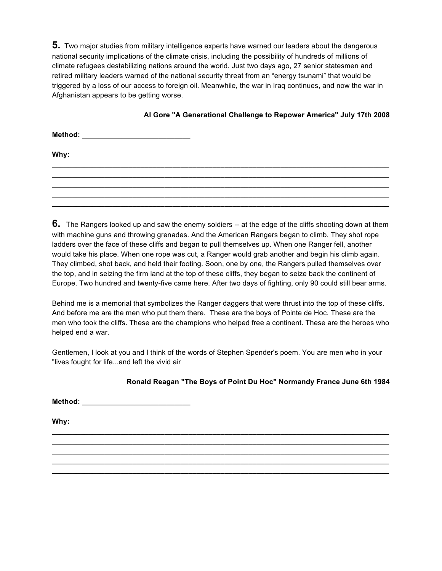**5.** Two major studies from military intelligence experts have warned our leaders about the dangerous national security implications of the climate crisis, including the possibility of hundreds of millions of climate refugees destabilizing nations around the world. Just two days ago, 27 senior statesmen and retired military leaders warned of the national security threat from an "energy tsunami" that would be triggered by a loss of our access to foreign oil. Meanwhile, the war in Iraq continues, and now the war in Afghanistan appears to be getting worse.

#### **Al Gore "A Generational Challenge to Repower America" July 17th 2008**

**Method: \_\_\_\_\_\_\_\_\_\_\_\_\_\_\_\_\_\_\_\_\_\_\_\_\_\_\_**

**Why:** 

**6.** The Rangers looked up and saw the enemy soldiers -- at the edge of the cliffs shooting down at them with machine guns and throwing grenades. And the American Rangers began to climb. They shot rope ladders over the face of these cliffs and began to pull themselves up. When one Ranger fell, another would take his place. When one rope was cut, a Ranger would grab another and begin his climb again. They climbed, shot back, and held their footing. Soon, one by one, the Rangers pulled themselves over the top, and in seizing the firm land at the top of these cliffs, they began to seize back the continent of Europe. Two hundred and twenty-five came here. After two days of fighting, only 90 could still bear arms.

**\_\_\_\_\_\_\_\_\_\_\_\_\_\_\_\_\_\_\_\_\_\_\_\_\_\_\_\_\_\_\_\_\_\_\_\_\_\_\_\_\_\_\_\_\_\_\_\_\_\_\_\_\_\_\_\_\_\_\_\_\_\_\_\_\_\_\_\_\_\_\_\_\_\_\_\_\_\_\_\_\_\_\_\_ \_\_\_\_\_\_\_\_\_\_\_\_\_\_\_\_\_\_\_\_\_\_\_\_\_\_\_\_\_\_\_\_\_\_\_\_\_\_\_\_\_\_\_\_\_\_\_\_\_\_\_\_\_\_\_\_\_\_\_\_\_\_\_\_\_\_\_\_\_\_\_\_\_\_\_\_\_\_\_\_\_\_\_\_ \_\_\_\_\_\_\_\_\_\_\_\_\_\_\_\_\_\_\_\_\_\_\_\_\_\_\_\_\_\_\_\_\_\_\_\_\_\_\_\_\_\_\_\_\_\_\_\_\_\_\_\_\_\_\_\_\_\_\_\_\_\_\_\_\_\_\_\_\_\_\_\_\_\_\_\_\_\_\_\_\_\_\_\_ \_\_\_\_\_\_\_\_\_\_\_\_\_\_\_\_\_\_\_\_\_\_\_\_\_\_\_\_\_\_\_\_\_\_\_\_\_\_\_\_\_\_\_\_\_\_\_\_\_\_\_\_\_\_\_\_\_\_\_\_\_\_\_\_\_\_\_\_\_\_\_\_\_\_\_\_\_\_\_\_\_\_\_\_ \_\_\_\_\_\_\_\_\_\_\_\_\_\_\_\_\_\_\_\_\_\_\_\_\_\_\_\_\_\_\_\_\_\_\_\_\_\_\_\_\_\_\_\_\_\_\_\_\_\_\_\_\_\_\_\_\_\_\_\_\_\_\_\_\_\_\_\_\_\_\_\_\_\_\_\_\_\_\_\_\_\_\_\_**

Behind me is a memorial that symbolizes the Ranger daggers that were thrust into the top of these cliffs. And before me are the men who put them there. These are the boys of Pointe de Hoc. These are the men who took the cliffs. These are the champions who helped free a continent. These are the heroes who helped end a war.

Gentlemen, I look at you and I think of the words of Stephen Spender's poem. You are men who in your "lives fought for life...and left the vivid air

**\_\_\_\_\_\_\_\_\_\_\_\_\_\_\_\_\_\_\_\_\_\_\_\_\_\_\_\_\_\_\_\_\_\_\_\_\_\_\_\_\_\_\_\_\_\_\_\_\_\_\_\_\_\_\_\_\_\_\_\_\_\_\_\_\_\_\_\_\_\_\_\_\_\_\_\_\_\_\_\_\_\_\_\_ \_\_\_\_\_\_\_\_\_\_\_\_\_\_\_\_\_\_\_\_\_\_\_\_\_\_\_\_\_\_\_\_\_\_\_\_\_\_\_\_\_\_\_\_\_\_\_\_\_\_\_\_\_\_\_\_\_\_\_\_\_\_\_\_\_\_\_\_\_\_\_\_\_\_\_\_\_\_\_\_\_\_\_\_ \_\_\_\_\_\_\_\_\_\_\_\_\_\_\_\_\_\_\_\_\_\_\_\_\_\_\_\_\_\_\_\_\_\_\_\_\_\_\_\_\_\_\_\_\_\_\_\_\_\_\_\_\_\_\_\_\_\_\_\_\_\_\_\_\_\_\_\_\_\_\_\_\_\_\_\_\_\_\_\_\_\_\_\_ \_\_\_\_\_\_\_\_\_\_\_\_\_\_\_\_\_\_\_\_\_\_\_\_\_\_\_\_\_\_\_\_\_\_\_\_\_\_\_\_\_\_\_\_\_\_\_\_\_\_\_\_\_\_\_\_\_\_\_\_\_\_\_\_\_\_\_\_\_\_\_\_\_\_\_\_\_\_\_\_\_\_\_\_ \_\_\_\_\_\_\_\_\_\_\_\_\_\_\_\_\_\_\_\_\_\_\_\_\_\_\_\_\_\_\_\_\_\_\_\_\_\_\_\_\_\_\_\_\_\_\_\_\_\_\_\_\_\_\_\_\_\_\_\_\_\_\_\_\_\_\_\_\_\_\_\_\_\_\_\_\_\_\_\_\_\_\_\_**

| Ronald Reagan "The Boys of Point Du Hoc" Normandy France June 6th 1984 |  |
|------------------------------------------------------------------------|--|
|------------------------------------------------------------------------|--|

**Method:**  $\blacksquare$